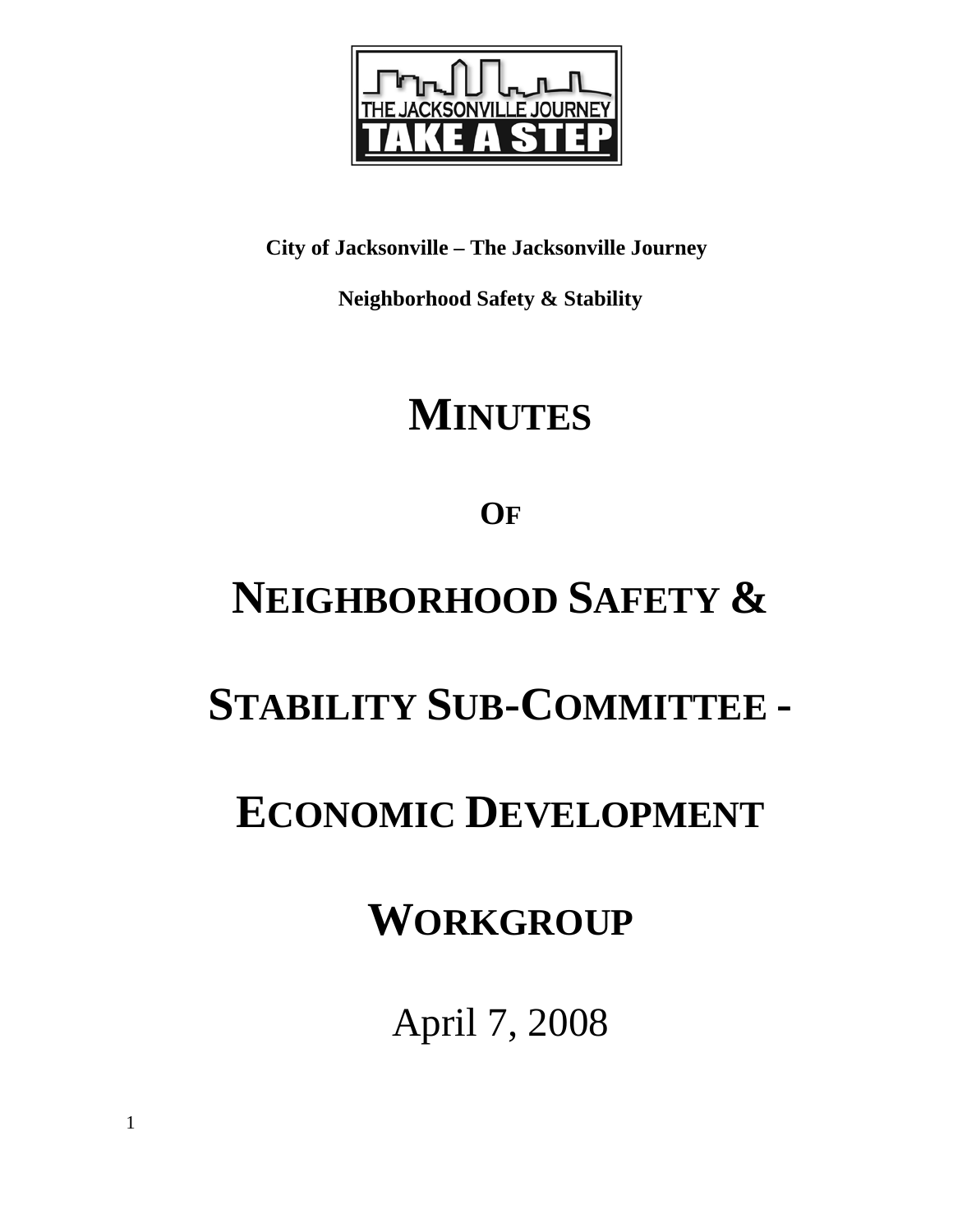

**City of Jacksonville – The Jacksonville Journey** 

 **Neighborhood Safety & Stability** 

# **MINUTES**

**OF**

# **NEIGHBORHOOD SAFETY &**

## **STABILITY SUB-COMMITTEE -**

## **ECONOMIC DEVELOPMENT**

## **WORKGROUP**

April 7, 2008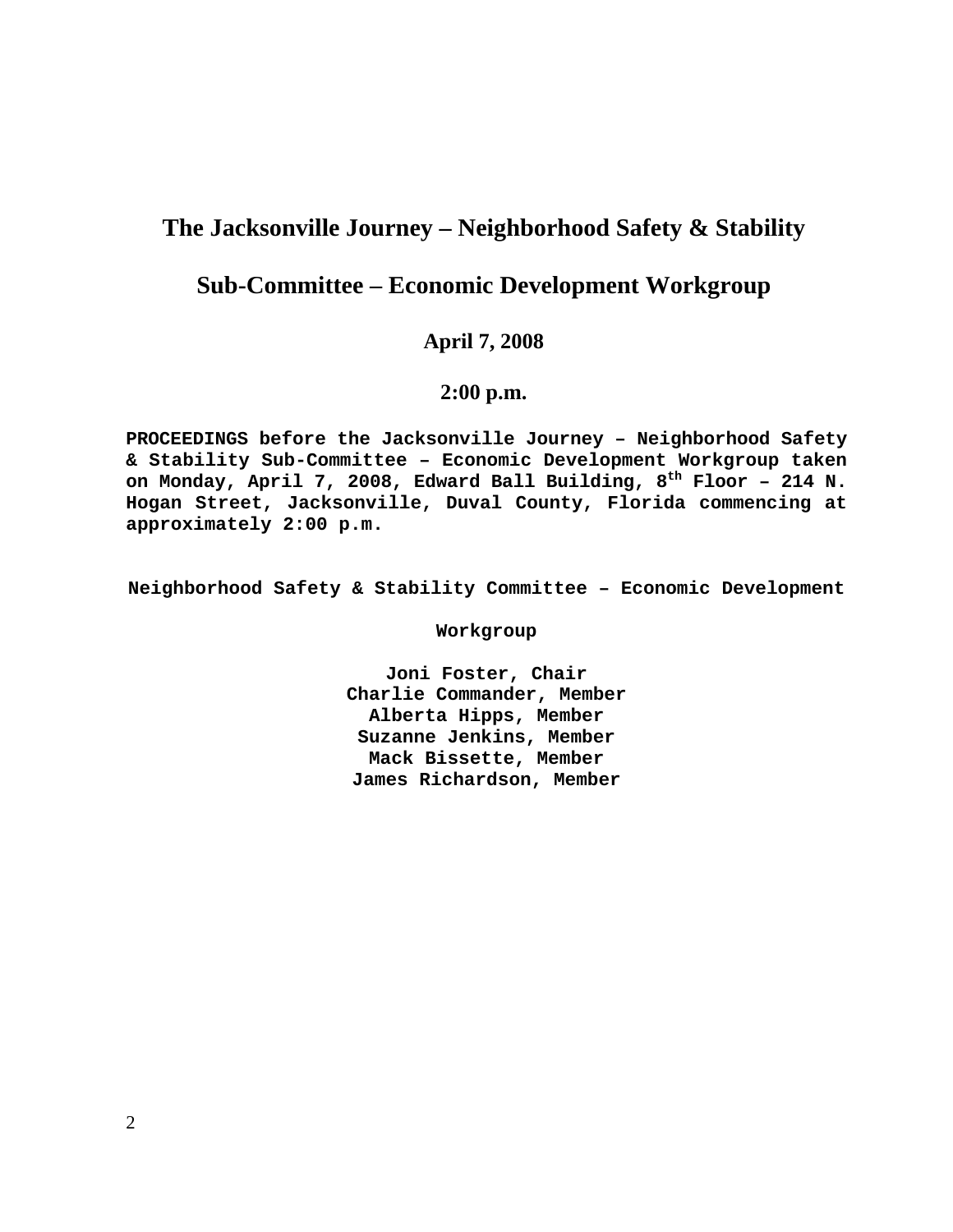### **The Jacksonville Journey – Neighborhood Safety & Stability**

### **Sub-Committee – Economic Development Workgroup**

#### **April 7, 2008**

#### **2:00 p.m.**

**PROCEEDINGS before the Jacksonville Journey – Neighborhood Safety & Stability Sub-Committee – Economic Development Workgroup taken**  on Monday, April 7, 2008, Edward Ball Building, 8<sup>th</sup> Floor - 214 N. **Hogan Street, Jacksonville, Duval County, Florida commencing at approximately 2:00 p.m.** 

**Neighborhood Safety & Stability Committee – Economic Development** 

**Workgroup** 

**Joni Foster, Chair Charlie Commander, Member Alberta Hipps, Member Suzanne Jenkins, Member Mack Bissette, Member James Richardson, Member**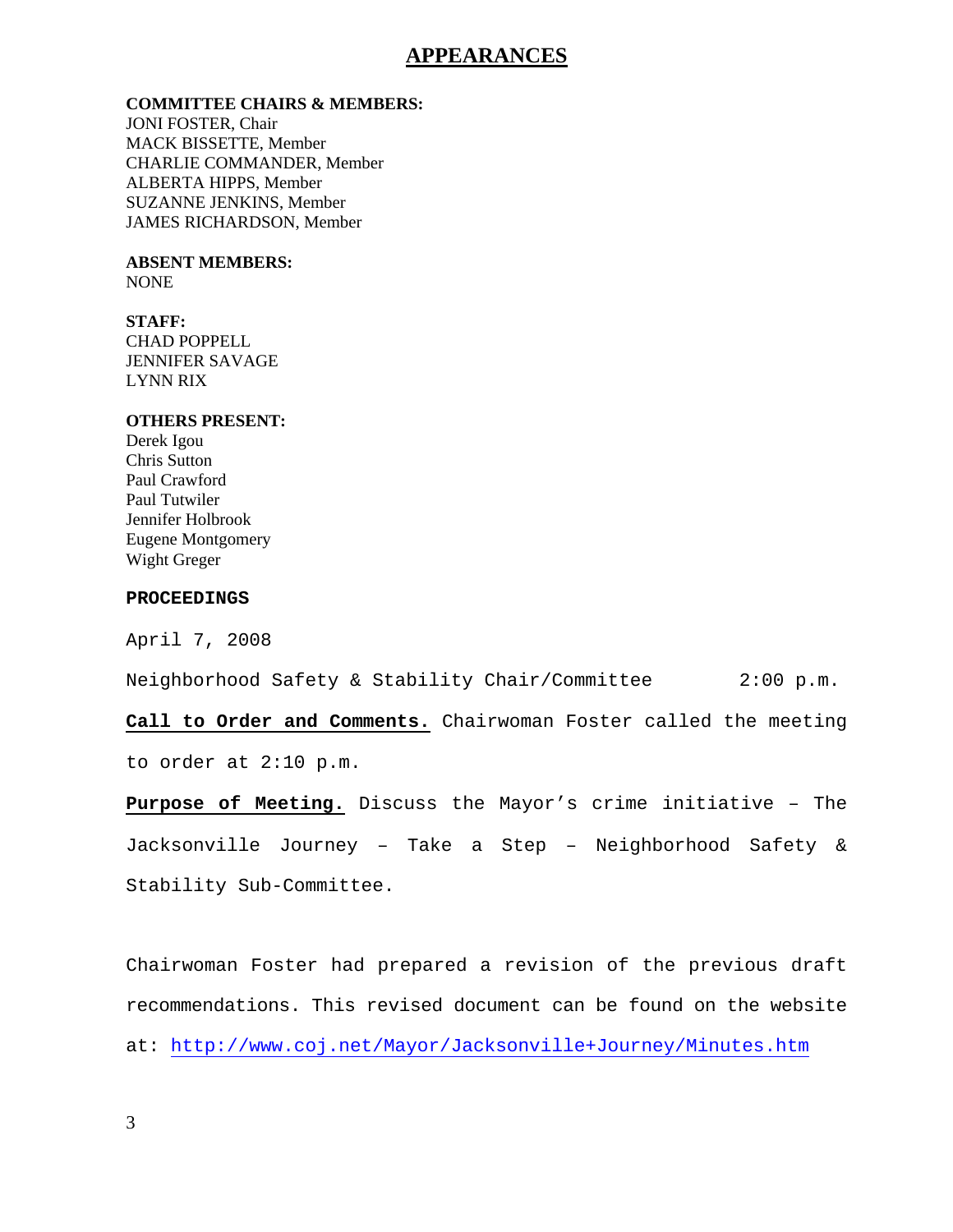#### **APPEARANCES**

#### **COMMITTEE CHAIRS & MEMBERS:**

JONI FOSTER, Chair MACK BISSETTE, Member CHARLIE COMMANDER, Member ALBERTA HIPPS, Member SUZANNE JENKINS, Member JAMES RICHARDSON, Member

#### **ABSENT MEMBERS:**  NONE

#### **STAFF:**

CHAD POPPELL JENNIFER SAVAGE LYNN RIX

#### **OTHERS PRESENT:**

Derek Igou Chris Sutton Paul Crawford Paul Tutwiler Jennifer Holbrook Eugene Montgomery Wight Greger

#### **PROCEEDINGS**

April 7, 2008

Neighborhood Safety & Stability Chair/Committee 2:00 p.m.

**Call to Order and Comments.** Chairwoman Foster called the meeting to order at 2:10 p.m.

**Purpose of Meeting.** Discuss the Mayor's crime initiative – The Jacksonville Journey – Take a Step – Neighborhood Safety & Stability Sub-Committee.

Chairwoman Foster had prepared a revision of the previous draft recommendations. This revised document can be found on the website at: http://www.coj.net/Mayor/Jacksonville+Journey/Minutes.htm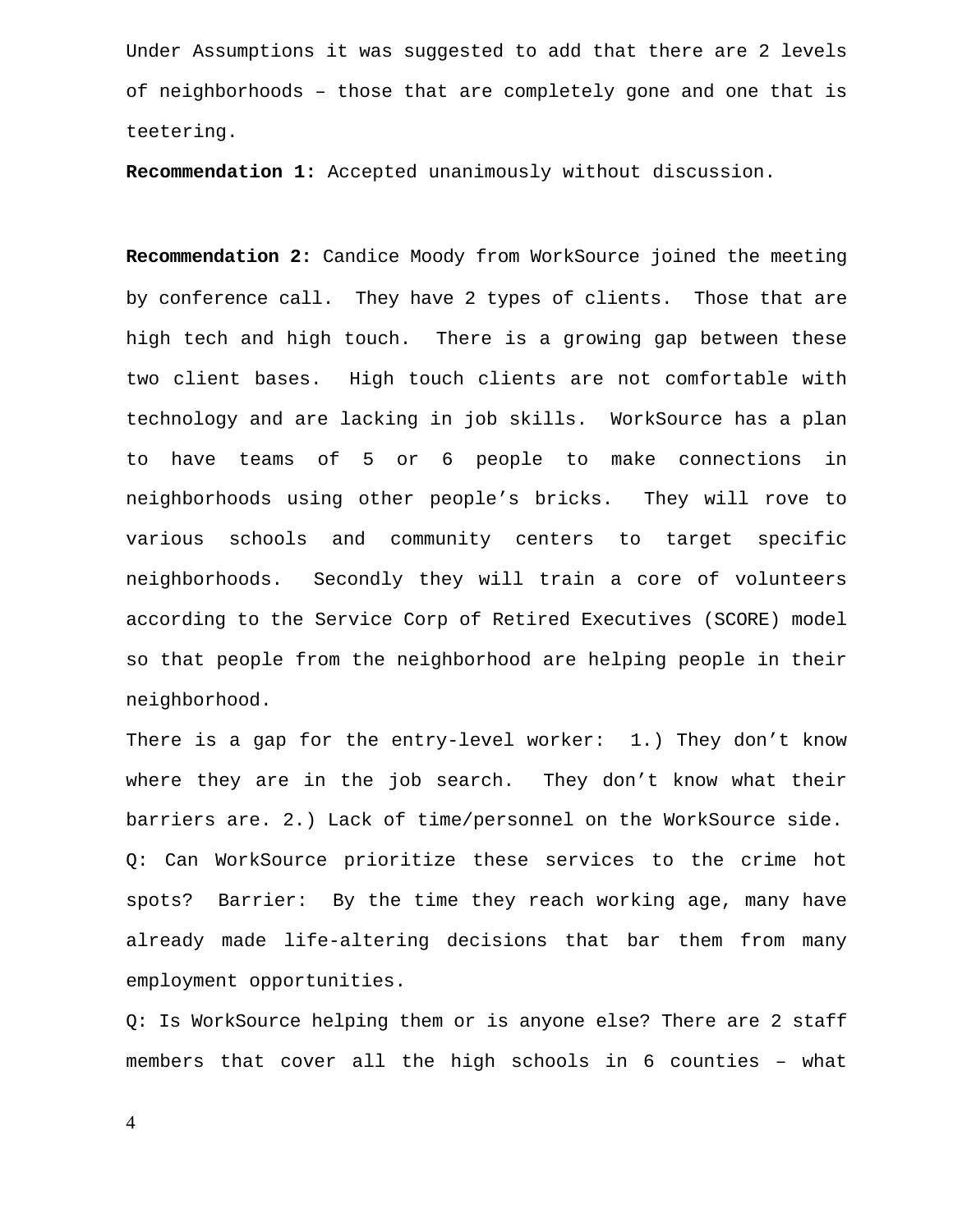Under Assumptions it was suggested to add that there are 2 levels of neighborhoods – those that are completely gone and one that is teetering.

**Recommendation 1:** Accepted unanimously without discussion.

**Recommendation 2:** Candice Moody from WorkSource joined the meeting by conference call. They have 2 types of clients. Those that are high tech and high touch. There is a growing gap between these two client bases. High touch clients are not comfortable with technology and are lacking in job skills. WorkSource has a plan to have teams of 5 or 6 people to make connections in neighborhoods using other people's bricks. They will rove to various schools and community centers to target specific neighborhoods. Secondly they will train a core of volunteers according to the Service Corp of Retired Executives (SCORE) model so that people from the neighborhood are helping people in their neighborhood.

There is a gap for the entry-level worker: 1.) They don't know where they are in the job search. They don't know what their barriers are. 2.) Lack of time/personnel on the WorkSource side. Q: Can WorkSource prioritize these services to the crime hot spots? Barrier: By the time they reach working age, many have already made life-altering decisions that bar them from many employment opportunities.

Q: Is WorkSource helping them or is anyone else? There are 2 staff members that cover all the high schools in 6 counties – what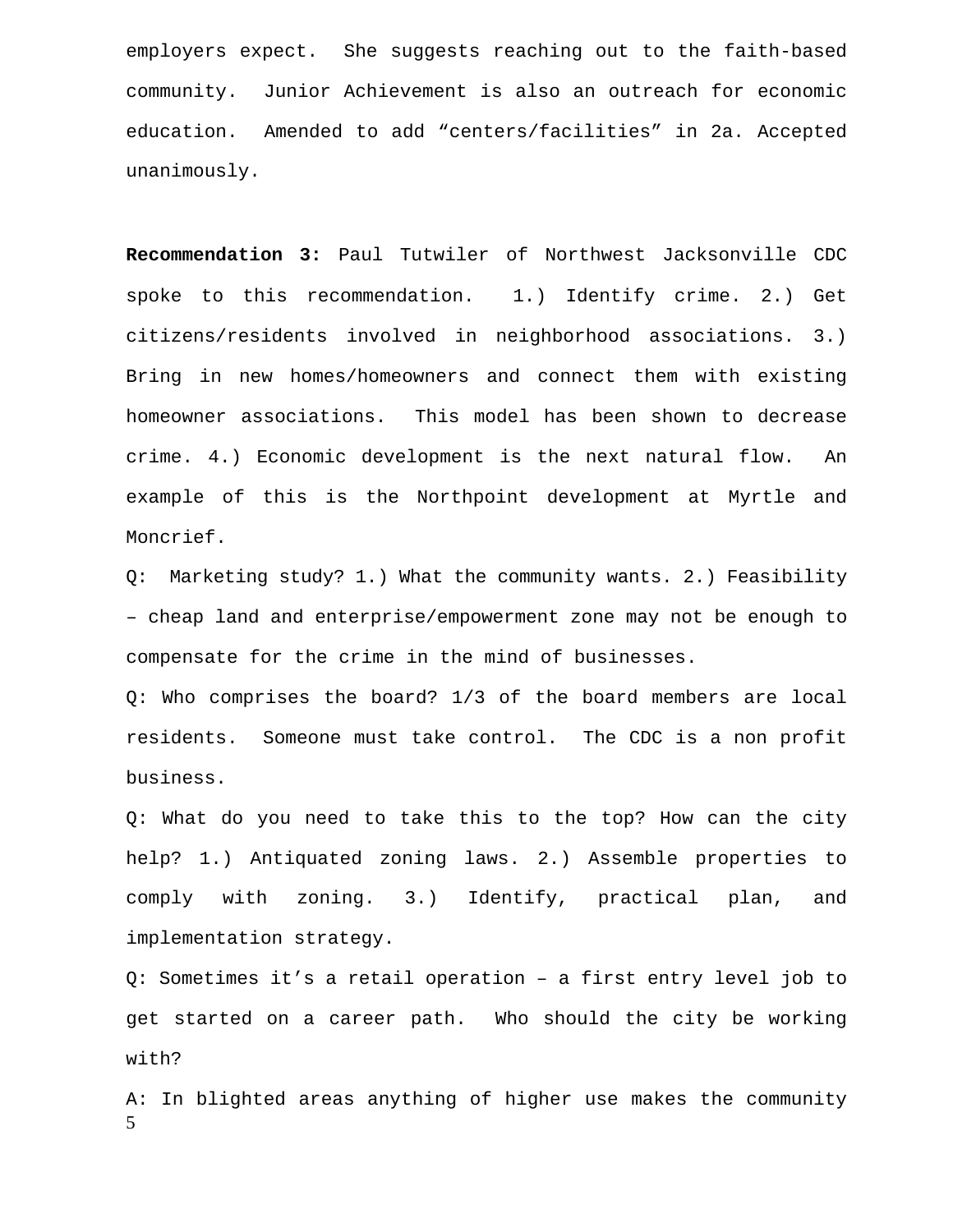employers expect. She suggests reaching out to the faith-based community. Junior Achievement is also an outreach for economic education. Amended to add "centers/facilities" in 2a. Accepted unanimously.

**Recommendation 3:** Paul Tutwiler of Northwest Jacksonville CDC spoke to this recommendation. 1.) Identify crime. 2.) Get citizens/residents involved in neighborhood associations. 3.) Bring in new homes/homeowners and connect them with existing homeowner associations. This model has been shown to decrease crime. 4.) Economic development is the next natural flow. An example of this is the Northpoint development at Myrtle and Moncrief.

Q: Marketing study? 1.) What the community wants. 2.) Feasibility – cheap land and enterprise/empowerment zone may not be enough to compensate for the crime in the mind of businesses.

Q: Who comprises the board? 1/3 of the board members are local residents. Someone must take control. The CDC is a non profit business.

Q: What do you need to take this to the top? How can the city help? 1.) Antiquated zoning laws. 2.) Assemble properties to comply with zoning. 3.) Identify, practical plan, and implementation strategy.

Q: Sometimes it's a retail operation – a first entry level job to get started on a career path. Who should the city be working with?

5 A: In blighted areas anything of higher use makes the community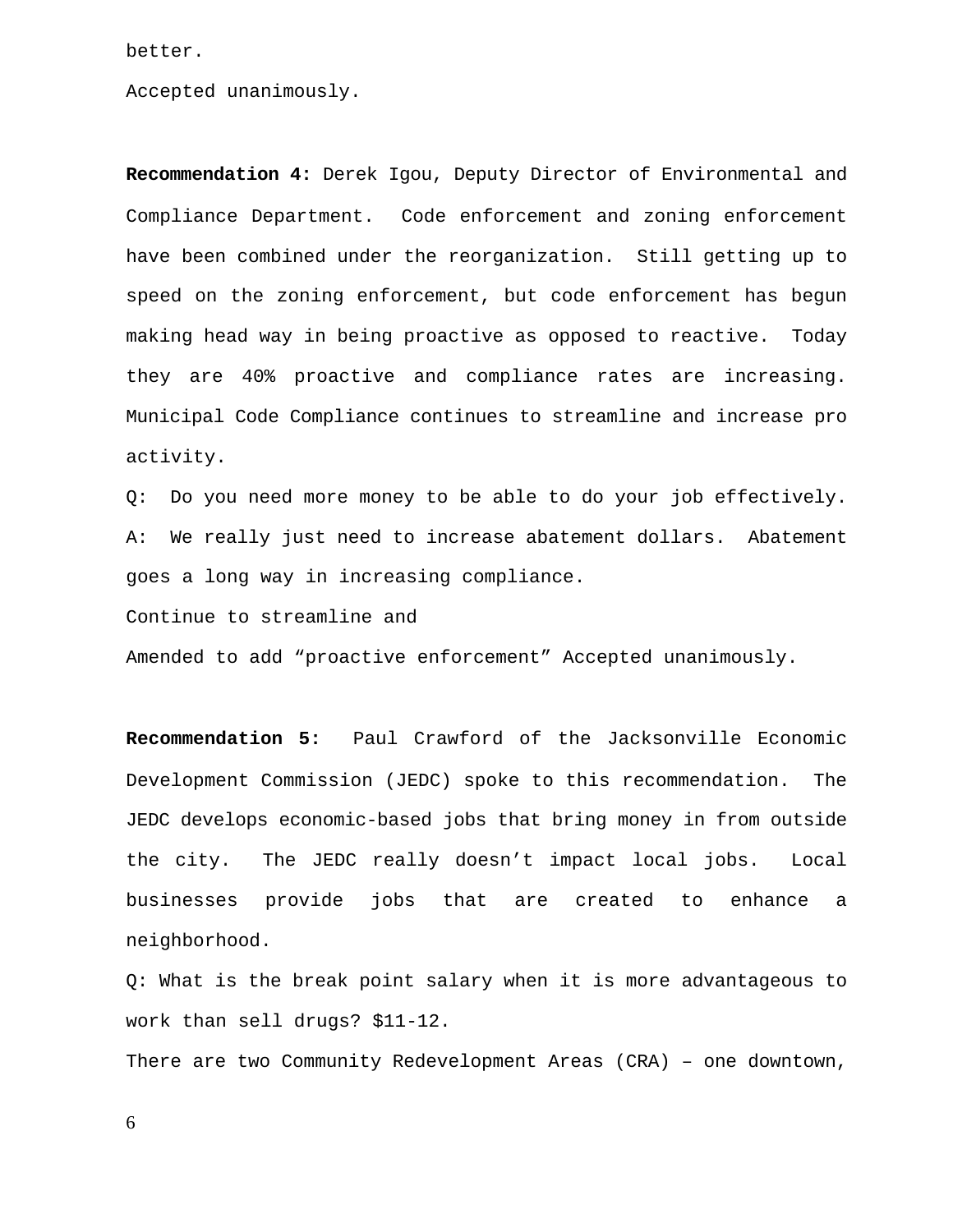better.

Accepted unanimously.

**Recommendation 4:** Derek Igou, Deputy Director of Environmental and Compliance Department. Code enforcement and zoning enforcement have been combined under the reorganization. Still getting up to speed on the zoning enforcement, but code enforcement has begun making head way in being proactive as opposed to reactive. Today they are 40% proactive and compliance rates are increasing. Municipal Code Compliance continues to streamline and increase pro activity.

Q: Do you need more money to be able to do your job effectively. A: We really just need to increase abatement dollars. Abatement goes a long way in increasing compliance.

Continue to streamline and

Amended to add "proactive enforcement" Accepted unanimously.

**Recommendation 5:** Paul Crawford of the Jacksonville Economic Development Commission (JEDC) spoke to this recommendation. The JEDC develops economic-based jobs that bring money in from outside the city. The JEDC really doesn't impact local jobs. Local businesses provide jobs that are created to enhance a neighborhood.

Q: What is the break point salary when it is more advantageous to work than sell drugs? \$11-12.

There are two Community Redevelopment Areas (CRA) – one downtown,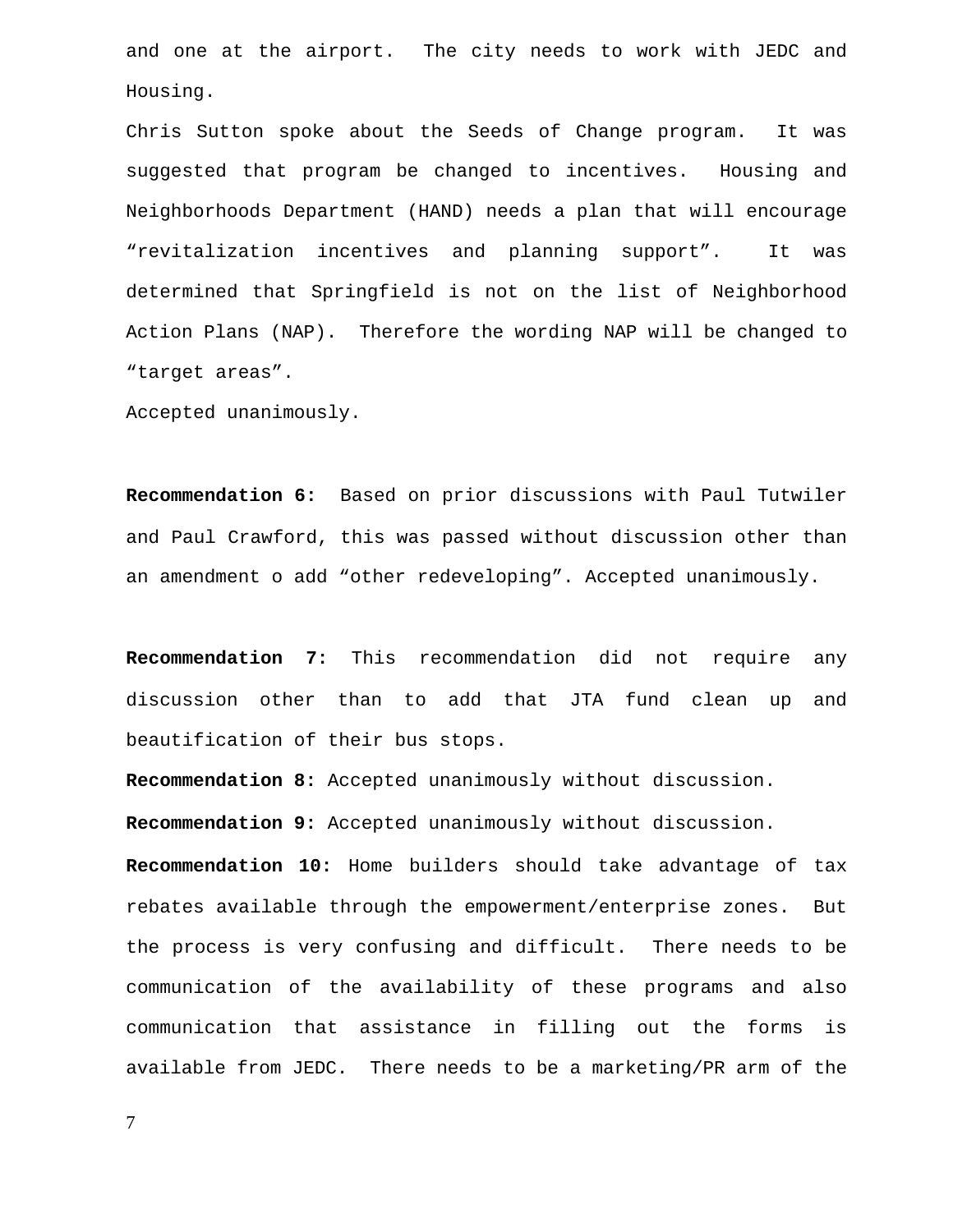and one at the airport. The city needs to work with JEDC and Housing.

Chris Sutton spoke about the Seeds of Change program. It was suggested that program be changed to incentives. Housing and Neighborhoods Department (HAND) needs a plan that will encourage "revitalization incentives and planning support". It was determined that Springfield is not on the list of Neighborhood Action Plans (NAP). Therefore the wording NAP will be changed to "target areas".

Accepted unanimously.

**Recommendation 6:** Based on prior discussions with Paul Tutwiler and Paul Crawford, this was passed without discussion other than an amendment o add "other redeveloping". Accepted unanimously.

**Recommendation 7:** This recommendation did not require any discussion other than to add that JTA fund clean up and beautification of their bus stops.

**Recommendation 8:** Accepted unanimously without discussion.

**Recommendation 9:** Accepted unanimously without discussion.

**Recommendation 10:** Home builders should take advantage of tax rebates available through the empowerment/enterprise zones. But the process is very confusing and difficult. There needs to be communication of the availability of these programs and also communication that assistance in filling out the forms is available from JEDC. There needs to be a marketing/PR arm of the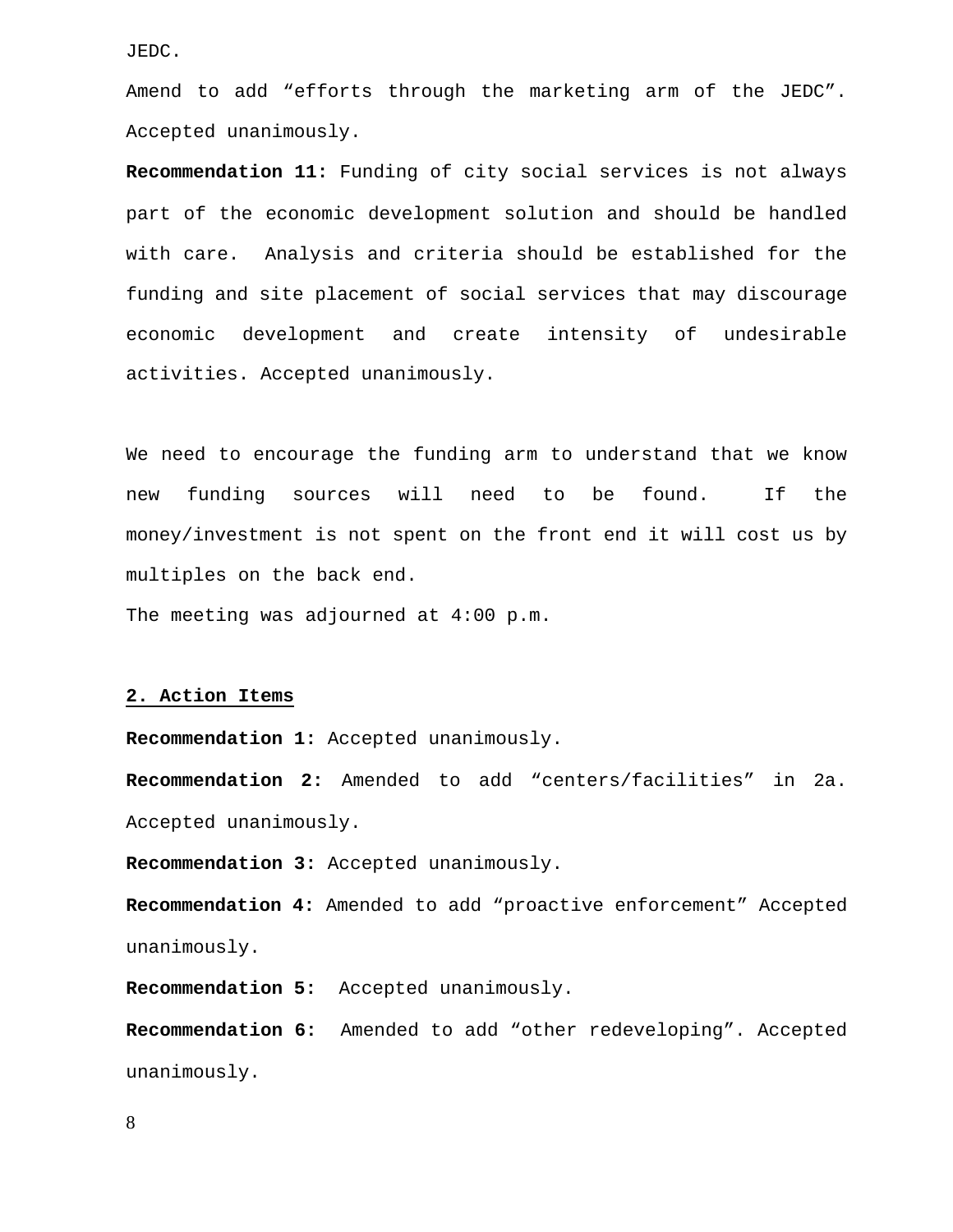JEDC.

Amend to add "efforts through the marketing arm of the JEDC". Accepted unanimously.

**Recommendation 11:** Funding of city social services is not always part of the economic development solution and should be handled with care. Analysis and criteria should be established for the funding and site placement of social services that may discourage economic development and create intensity of undesirable activities. Accepted unanimously.

We need to encourage the funding arm to understand that we know new funding sources will need to be found. If the money/investment is not spent on the front end it will cost us by multiples on the back end.

The meeting was adjourned at 4:00 p.m.

#### **2. Action Items**

**Recommendation 1:** Accepted unanimously.

**Recommendation 2:** Amended to add "centers/facilities" in 2a. Accepted unanimously.

**Recommendation 3:** Accepted unanimously.

**Recommendation 4:** Amended to add "proactive enforcement" Accepted unanimously.

**Recommendation 5:** Accepted unanimously.

**Recommendation 6:** Amended to add "other redeveloping". Accepted unanimously.